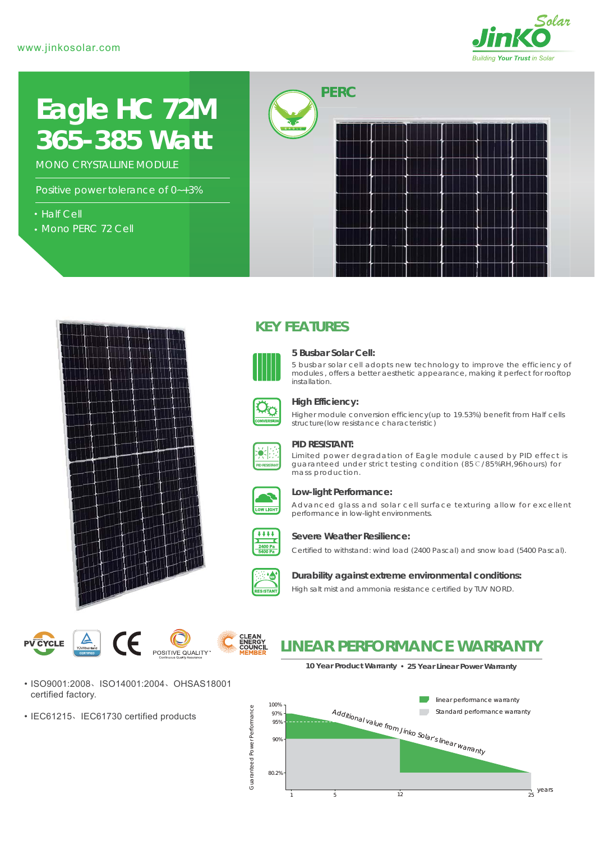

# *365-385 Watt* **Eagle HC 72M**

MONO CRYSTALLINE MODULE

Positive power tolerance of 0~+3%

- Half Cell
- Mono PERC 72 Cell





## **KEY FEATURES**



#### **5 Busbar Solar Cell:**

5 busbar solar cell adopts new technology to improve the efficiency of modules , offers a better aesthetic appearance, making it perfect for rooftop installation.



#### **High Efficiency:**

Higher module conversion efficiency(up to 19.53%) benefit from Half cells structure(low resistance characteristic)



#### **PID RESISTANT:**

Limited power degradation of Eagle module caused by PID effect is guaranteed under strict testing condition (85℃/85%RH,96hours) for mass production.



#### **Low-light Performance:**

Advanced glass and solar cell surface texturing allow for excellent performance in low-light environments.



#### **Severe Weather Resilience:**

Certified to withstand: wind load (2400 Pascal) and snow load (5400 Pascal).



### **Durability against extreme environmental conditions:**

High salt mist and ammonia resistance certified by TUV NORD.

 $\mathbf{A}$ CE) **PV CYCLE** POSITIVE QUALITY

- ISO9001:2008、ISO14001:2004、OHSAS18001 certified factory.
- IEC61215、IEC61730 certified products



# **LINEAR PERFORMANCE WARRANTY**

**10 Year Product Warranty 25 Year Linear Power Warranty**